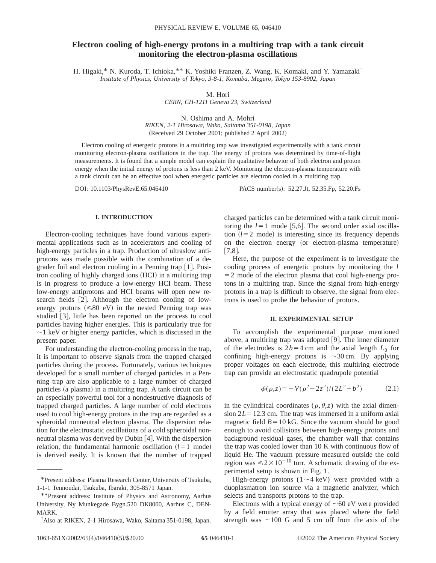# **Electron cooling of high-energy protons in a multiring trap with a tank circuit monitoring the electron-plasma oscillations**

H. Higaki,\* N. Kuroda, T. Ichioka,\*\* K. Yoshiki Franzen, Z. Wang, K. Komaki, and Y. Yamazaki† *Institute of Physics, University of Tokyo, 3-8-1, Komaba, Meguro, Tokyo 153-8902, Japan*

M. Hori

*CERN, CH-1211 Geneva 23, Switzerland*

N. Oshima and A. Mohri *RIKEN, 2-1 Hirosawa, Wako, Saitama 351-0198, Japan* (Received 29 October 2001; published 2 April 2002)

Electron cooling of energetic protons in a multiring trap was investigated experimentally with a tank circuit monitoring electron-plasma oscillations in the trap. The energy of protons was determined by time-of-flight measurements. It is found that a simple model can explain the qualitative behavior of both electron and proton energy when the initial energy of protons is less than 2 keV. Monitoring the electron-plasma temperature with a tank circuit can be an effective tool when energetic particles are electron cooled in a multiring trap.

DOI: 10.1103/PhysRevE.65.046410 PACS number(s): 52.27.Jt, 52.35.Fp, 52.20.Fs

## **I. INTRODUCTION**

Electron-cooling techniques have found various experimental applications such as in accelerators and cooling of high-energy particles in a trap. Production of ultraslow antiprotons was made possible with the combination of a degrader foil and electron cooling in a Penning trap  $[1]$ . Positron cooling of highly charged ions (HCI) in a multiring trap is in progress to produce a low-energy HCI beam. These low-energy antiprotons and HCI beams will open new research fields  $[2]$ . Although the electron cooling of lowenergy protons  $(\leq 80 \text{ eV})$  in the nested Penning trap was studied [3], little has been reported on the process to cool particles having higher energies. This is particularly true for  $\sim$ 1 keV or higher energy particles, which is discussed in the present paper.

For understanding the electron-cooling process in the trap, it is important to observe signals from the trapped charged particles during the process. Fortunately, various techniques developed for a small number of charged particles in a Penning trap are also applicable to a large number of charged particles (a plasma) in a multiring trap. A tank circuit can be an especially powerful tool for a nondestructive diagnosis of trapped charged particles. A large number of cold electrons used to cool high-energy protons in the trap are regarded as a spheroidal nonneutral electron plasma. The dispersion relation for the electrostatic oscillations of a cold spheroidal nonneutral plasma was derived by Dubin  $[4]$ . With the dispersion relation, the fundamental harmonic oscillation  $(l=1 \text{ mode})$ is derived easily. It is known that the number of trapped

charged particles can be determined with a tank circuit monitoring the  $l=1$  mode [5,6]. The second order axial oscillation  $(l=2 \text{ mode})$  is interesting since its frequency depends on the electron energy (or electron-plasma temperature)  $|7,8|$ .

Here, the purpose of the experiment is to investigate the cooling process of energetic protons by monitoring the *l*  $=$  2 mode of the electron plasma that cool high-energy protons in a multiring trap. Since the signal from high-energy protons in a trap is difficult to observe, the signal from electrons is used to probe the behavior of protons.

## **II. EXPERIMENTAL SETUP**

To accomplish the experimental purpose mentioned above, a multiring trap was adopted  $[9]$ . The inner diameter of the electrodes is  $2b=4$  cm and the axial length  $L_0$  for confining high-energy protons is  $\sim 30 \text{ cm}$ . By applying proper voltages on each electrode, this multiring electrode trap can provide an electrostatic quadrupole potential

$$
\phi(\rho, z) = -V(\rho^2 - 2z^2)/(2L^2 + b^2)
$$
 (2.1)

in the cylindrical coordinates  $(\rho, \theta, z)$  with the axial dimension  $2L = 12.3$  cm. The trap was immersed in a uniform axial magnetic field  $B=10$  kG. Since the vacuum should be good enough to avoid collisions between high-energy protons and background residual gases, the chamber wall that contains the trap was cooled lower than 10 K with continuous flow of liquid He. The vacuum pressure measured outside the cold region was  $\leq 2 \times 10^{-10}$  torr. A schematic drawing of the experimental setup is shown in Fig. 1.

High-energy protons  $(1 \sim 4 \text{ keV})$  were provided with a duoplasmatron ion source via a magnetic analyzer, which selects and transports protons to the trap.

Electrons with a typical energy of  $\sim 60$  eV were provided by a field emitter array that was placed where the field strength was  $\sim$ 100 G and 5 cm off from the axis of the

<sup>\*</sup>Present address: Plasma Research Center, University of Tsukuba, 1-1-1 Tennoudai, Tsukuba, Ibaraki, 305-8571 Japan.

<sup>\*\*</sup>Present address: Institute of Physics and Astronomy, Aarhus University, Ny Munkegade Bygn.520 DK8000, Aarhus C, DEN-MARK.

<sup>†</sup> Also at RIKEN, 2-1 Hirosawa, Wako, Saitama 351-0198, Japan.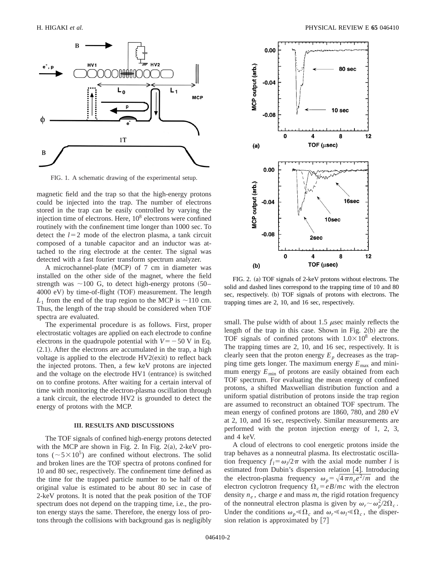

FIG. 1. A schematic drawing of the experimental setup.

magnetic field and the trap so that the high-energy protons could be injected into the trap. The number of electrons stored in the trap can be easily controlled by varying the injection time of electrons. Here,  $10<sup>8</sup>$  electrons were confined routinely with the confinement time longer than 1000 sec. To detect the  $l=2$  mode of the electron plasma, a tank circuit composed of a tunable capacitor and an inductor was attached to the ring electrode at the center. The signal was detected with a fast fourier transform spectrum analyzer.

A microchannel-plate (MCP) of 7 cm in diameter was installed on the other side of the magnet, where the field strength was  $\sim$ 100 G, to detect high-energy protons (50–  $4000$  eV) by time-of-flight  $(TOF)$  measurement. The length  $L_1$  from the end of the trap region to the MCP is  $\sim$ 110 cm. Thus, the length of the trap should be considered when TOF spectra are evaluated.

The experimental procedure is as follows. First, proper electrostatic voltages are applied on each electrode to confine electrons in the quadrupole potential with  $V = -50$  V in Eq.  $(2.1)$ . After the electrons are accumulated in the trap, a high voltage is applied to the electrode  $HV2$ (exit) to reflect back the injected protons. Then, a few keV protons are injected and the voltage on the electrode HV1 (entrance) is switched on to confine protons. After waiting for a certain interval of time with monitoring the electron-plasma oscillation through a tank circuit, the electrode HV2 is grounded to detect the energy of protons with the MCP.

#### **III. RESULTS AND DISCUSSIONS**

The TOF signals of confined high-energy protons detected with the MCP are shown in Fig. 2. In Fig.  $2(a)$ , 2-keV protons ( $\sim$  5 $\times$  10<sup>5</sup>) are confined without electrons. The solid and broken lines are the TOF spectra of protons confined for 10 and 80 sec, respectively. The confinement time defined as the time for the trapped particle number to be half of the original value is estimated to be about 80 sec in case of 2-keV protons. It is noted that the peak position of the TOF spectrum does not depend on the trapping time, i.e., the proton energy stays the same. Therefore, the energy loss of protons through the collisions with background gas is negligibly



FIG. 2. (a) TOF signals of 2-keV protons without electrons. The solid and dashed lines correspond to the trapping time of 10 and 80 sec, respectively. (b) TOF signals of protons with electrons. The trapping times are 2, 10, and 16 sec, respectively.

small. The pulse width of about 1.5  $\mu$ sec mainly reflects the length of the trap in this case. Shown in Fig.  $2(b)$  are the TOF signals of confined protons with  $1.0 \times 10^8$  electrons. The trapping times are 2, 10, and 16 sec, respectively. It is clearly seen that the proton energy  $E_p$  decreases as the trapping time gets longer. The maximum energy  $E_{\text{max}}$  and minimum energy  $E_{\text{min}}$  of protons are easily obtained from each TOF spectrum. For evaluating the mean energy of confined protons, a shifted Maxwellian distribution function and a uniform spatial distribution of protons inside the trap region are assumed to reconstruct an obtained TOF spectrum. The mean energy of confined protons are 1860, 780, and 280 eV at 2, 10, and 16 sec, respectively. Similar measurements are performed with the proton injection energy of 1, 2, 3, and 4 keV.

A cloud of electrons to cool energetic protons inside the trap behaves as a nonneutral plasma. Its electrostatic oscillation frequency  $f_l = \omega_l/2\pi$  with the axial mode number *l* is estimated from Dubin's dispersion relation  $[4]$ . Introducing the electron-plasma frequency  $\omega_p = \sqrt{4 \pi n_e e^2/m}$  and the electron cyclotron frequency  $\Omega_c = eB/mc$  with the electron density *ne* , charge *e* and mass *m*, the rigid rotation frequency of the nonneutral electron plasma is given by  $\omega_r \sim \omega_p^2/2\Omega_c$ . Under the conditions  $\omega_p \ll \Omega_c$  and  $\omega_r \ll \omega_l \ll \Omega_c$ , the dispersion relation is approximated by  $[7]$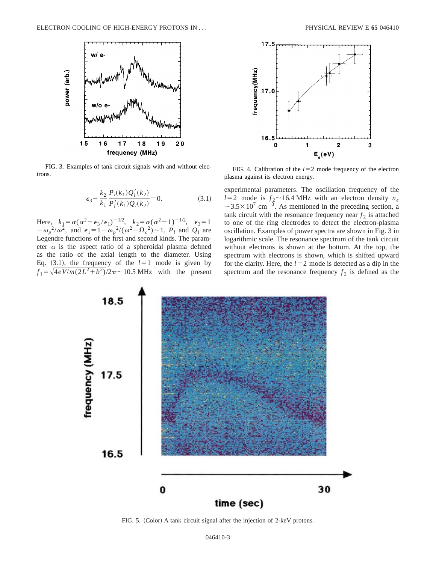

FIG. 3. Examples of tank circuit signals with and without electrons.

$$
\epsilon_3 - \frac{k_2}{k_1} \frac{P_l(k_1) Q_l'(k_2)}{P_l'(k_1) Q_l(k_2)} = 0.
$$
 (3.1)

Here,  $k_1 = \alpha(\alpha^2 - \epsilon_3/\epsilon_1)^{-1/2}$ ,  $k_2 = \alpha(\alpha^2-1)^{-1/2}$ ,  $\epsilon_3 = 1$  $(-\omega_p^2/\omega^2)$ , and  $\epsilon_1 = 1 - \omega_p^2/(\omega^2 - \Omega_c^2) \sim 1$ . *P<sub>l</sub>* and *Q<sub>l</sub>* are Legendre functions of the first and second kinds. The parameter  $\alpha$  is the aspect ratio of a spheroidal plasma defined as the ratio of the axial length to the diameter. Using Eq.  $(3.1)$ , the frequency of the  $l=1$  mode is given by  $f_1 = \sqrt{4eV/m(2L^2+b^2)}/2\pi \sim 10.5$  MHz with the present



FIG. 4. Calibration of the  $l=2$  mode frequency of the electron plasma against its electron energy.

experimental parameters. The oscillation frequency of the  $l=2$  mode is  $f_2 \sim 16.4$  MHz with an electron density  $n_e$  $\sim$ 3.5 $\times$ 10<sup>7</sup> cm<sup>-3</sup>. As mentioned in the preceding section, a tank circuit with the resonance frequency near  $f_2$  is attached to one of the ring electrodes to detect the electron-plasma oscillation. Examples of power spectra are shown in Fig. 3 in logarithmic scale. The resonance spectrum of the tank circuit without electrons is shown at the bottom. At the top, the spectrum with electrons is shown, which is shifted upward for the clarity. Here, the  $l=2$  mode is detected as a dip in the spectrum and the resonance frequency  $f_2$  is defined as the



FIG. 5. (Color) A tank circuit signal after the injection of 2-keV protons.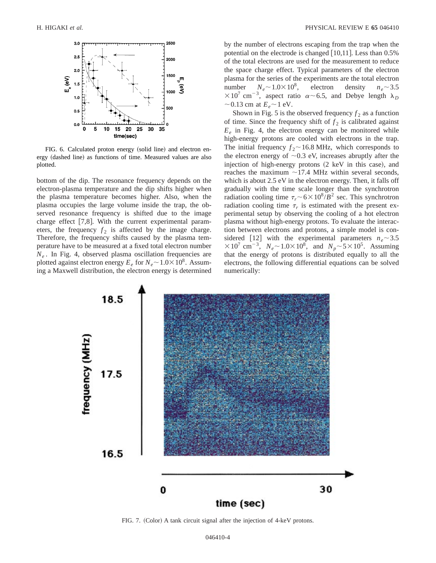

FIG. 6. Calculated proton energy (solid line) and electron energy (dashed line) as functions of time. Measured values are also plotted.

bottom of the dip. The resonance frequency depends on the electron-plasma temperature and the dip shifts higher when the plasma temperature becomes higher. Also, when the plasma occupies the large volume inside the trap, the observed resonance frequency is shifted due to the image charge effect  $[7,8]$ . With the current experimental parameters, the frequency  $f_2$  is affected by the image charge. Therefore, the frequency shifts caused by the plasma temperature have to be measured at a fixed total electron number *Ne* . In Fig. 4, observed plasma oscillation frequencies are plotted against electron energy  $E_e$  for  $N_e \sim 1.0 \times 10^8$ . Assuming a Maxwell distribution, the electron energy is determined by the number of electrons escaping from the trap when the potential on the electrode is changed  $[10,11]$ . Less than 0.5% of the total electrons are used for the measurement to reduce the space charge effect. Typical parameters of the electron plasma for the series of the experiments are the total electron number  $N_e \sim 1.0 \times 10^8$ , electron density  $n_e \sim 3.5$  $\times 10^7$  cm<sup>-3</sup>, aspect ratio  $\alpha$  -6.5, and Debye length  $\lambda_D$  $\sim$  0.13 cm at  $E_e \sim$  1 eV.

Shown in Fig. 5 is the observed frequency  $f_2$  as a function of time. Since the frequency shift of  $f_2$  is calibrated against  $E_e$  in Fig. 4, the electron energy can be monitored while high-energy protons are cooled with electrons in the trap. The initial frequency  $f_2 \sim 16.8$  MHz, which corresponds to the electron energy of  $\sim$ 0.3 eV, increases abruptly after the injection of high-energy protons  $(2 \text{ keV}$  in this case), and reaches the maximum  $\sim$ 17.4 MHz within several seconds, which is about 2.5 eV in the electron energy. Then, it falls off gradually with the time scale longer than the synchrotron radiation cooling time  $\tau_r \sim 6 \times 10^8/B^2$  sec. This synchrotron radiation cooling time  $\tau_r$  is estimated with the present experimental setup by observing the cooling of a hot electron plasma without high-energy protons. To evaluate the interaction between electrons and protons, a simple model is considered [12] with the experimental parameters  $n_e \sim 3.5$  $\times 10^7$  cm<sup>-3</sup>,  $N_e \sim 1.0 \times 10^8$ , and  $N_p \sim 5 \times 10^5$ . Assuming that the energy of protons is distributed equally to all the electrons, the following differential equations can be solved numerically:



FIG. 7. (Color) A tank circuit signal after the injection of 4-keV protons.